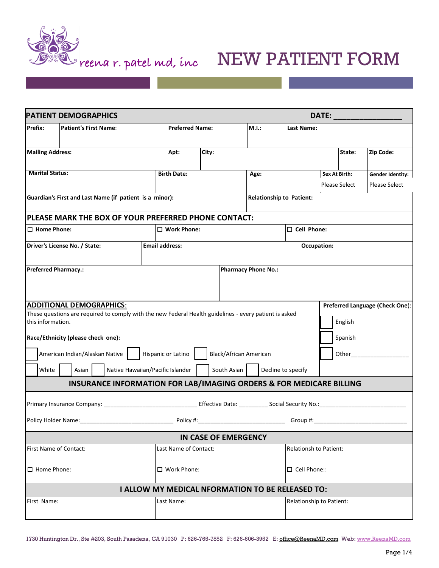

## Preena r. patel md, inc **NEW PATIENT FORM**

| <b>PATIENT DEMOGRAPHICS</b>                                                    |                                                                                                                                        |                               |  |                                              |                       |                    | DATE:                      |                                 |                    |                    |         |                      |                      |                      |
|--------------------------------------------------------------------------------|----------------------------------------------------------------------------------------------------------------------------------------|-------------------------------|--|----------------------------------------------|-----------------------|--------------------|----------------------------|---------------------------------|--------------------|--------------------|---------|----------------------|----------------------|----------------------|
| Prefix:                                                                        | <b>Patient's First Name:</b>                                                                                                           |                               |  | <b>Preferred Name:</b>                       |                       |                    | M.I.:                      |                                 | Last Name:         |                    |         |                      |                      |                      |
|                                                                                |                                                                                                                                        |                               |  |                                              |                       |                    |                            |                                 |                    |                    |         |                      |                      |                      |
| <b>Mailing Address:</b>                                                        |                                                                                                                                        |                               |  |                                              | Apt:                  |                    | City:                      |                                 |                    |                    |         |                      | State:               | Zip Code:            |
| <b>Marital Status:</b>                                                         |                                                                                                                                        |                               |  |                                              | <b>Birth Date:</b>    |                    |                            | Age:                            |                    |                    |         | <b>Sex At Birth:</b> |                      | Gender Identity:     |
|                                                                                |                                                                                                                                        |                               |  |                                              |                       |                    |                            |                                 |                    |                    |         |                      | <b>Please Select</b> | <b>Please Select</b> |
| Guardian's First and Last Name (if patient is a minor):                        |                                                                                                                                        |                               |  |                                              |                       |                    |                            | <b>Relationship to Patient:</b> |                    |                    |         |                      |                      |                      |
| PLEASE MARK THE BOX OF YOUR PREFERRED PHONE CONTACT:                           |                                                                                                                                        |                               |  |                                              |                       |                    |                            |                                 |                    |                    |         |                      |                      |                      |
| $\Box$ Home Phone:                                                             |                                                                                                                                        |                               |  |                                              |                       | $\Box$ Work Phone: |                            |                                 |                    | $\Box$ Cell Phone: |         |                      |                      |                      |
|                                                                                |                                                                                                                                        | Driver's License No. / State: |  |                                              | <b>Email address:</b> |                    |                            |                                 | <b>Occupation:</b> |                    |         |                      |                      |                      |
|                                                                                |                                                                                                                                        |                               |  |                                              |                       |                    |                            |                                 |                    |                    |         |                      |                      |                      |
|                                                                                |                                                                                                                                        | <b>Preferred Pharmacy.:</b>   |  |                                              |                       |                    | <b>Pharmacy Phone No.:</b> |                                 |                    |                    |         |                      |                      |                      |
|                                                                                |                                                                                                                                        |                               |  |                                              |                       |                    |                            |                                 |                    |                    |         |                      |                      |                      |
| <b>ADDITIONAL DEMOGRAPHICS:</b><br>Preferred Language (Check One):             |                                                                                                                                        |                               |  |                                              |                       |                    |                            |                                 |                    |                    |         |                      |                      |                      |
|                                                                                | These questions are required to comply with the new Federal Health guidelines - every patient is asked<br>English<br>this information. |                               |  |                                              |                       |                    |                            |                                 |                    |                    |         |                      |                      |                      |
| Race/Ethnicity (please check one):                                             |                                                                                                                                        |                               |  |                                              |                       |                    |                            |                                 |                    |                    | Spanish |                      |                      |                      |
| American Indian/Alaskan Native                                                 |                                                                                                                                        |                               |  | Hispanic or Latino<br>Black/African American |                       |                    |                            |                                 |                    |                    | Other   |                      |                      |                      |
| Native Hawaiian/Pacific Islander<br>White<br>Asian                             |                                                                                                                                        |                               |  | South Asian<br>Decline to specify            |                       |                    |                            |                                 |                    |                    |         |                      |                      |                      |
| <b>INSURANCE INFORMATION FOR LAB/IMAGING ORDERS &amp; FOR MEDICARE BILLING</b> |                                                                                                                                        |                               |  |                                              |                       |                    |                            |                                 |                    |                    |         |                      |                      |                      |
|                                                                                |                                                                                                                                        |                               |  |                                              |                       |                    |                            |                                 |                    |                    |         |                      |                      |                      |
|                                                                                |                                                                                                                                        |                               |  |                                              |                       |                    |                            |                                 |                    |                    |         |                      |                      |                      |
|                                                                                |                                                                                                                                        |                               |  |                                              |                       |                    |                            |                                 |                    |                    |         |                      |                      |                      |
| IN CASE OF EMERGENCY                                                           |                                                                                                                                        |                               |  |                                              |                       |                    |                            |                                 |                    |                    |         |                      |                      |                      |
| <b>First Name of Contact:</b>                                                  |                                                                                                                                        |                               |  | Last Name of Contact:                        |                       |                    |                            | <b>Relationsh to Patient:</b>   |                    |                    |         |                      |                      |                      |
| $\Box$ Home Phone:                                                             |                                                                                                                                        |                               |  | $\Box$ Work Phone:                           |                       |                    |                            | □ Cell Phone::                  |                    |                    |         |                      |                      |                      |
|                                                                                | I ALLOW MY MEDICAL NFORMATION TO BE RELEASED TO:                                                                                       |                               |  |                                              |                       |                    |                            |                                 |                    |                    |         |                      |                      |                      |
| First Name:                                                                    |                                                                                                                                        |                               |  | Last Name:                                   |                       |                    |                            | Relationship to Patient:        |                    |                    |         |                      |                      |                      |
|                                                                                |                                                                                                                                        |                               |  |                                              |                       |                    |                            |                                 |                    |                    |         |                      |                      |                      |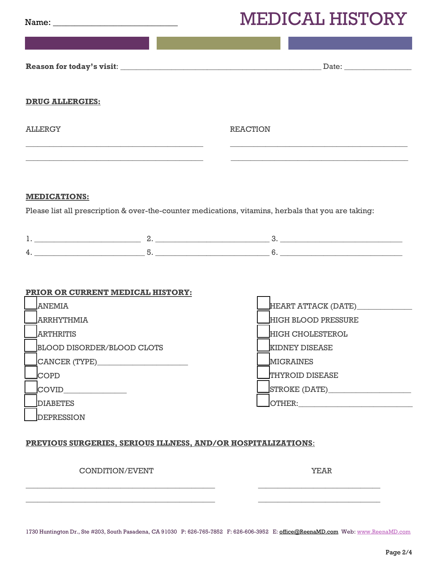## MEDICAL HISTORY

|                        |                                   | TATTILI TIID I QIZT                                                                                 |
|------------------------|-----------------------------------|-----------------------------------------------------------------------------------------------------|
|                        |                                   |                                                                                                     |
|                        |                                   |                                                                                                     |
| <b>DRUG ALLERGIES:</b> |                                   |                                                                                                     |
| <b>ALLERGY</b>         |                                   | <b>REACTION</b>                                                                                     |
|                        |                                   |                                                                                                     |
|                        |                                   |                                                                                                     |
| <b>MEDICATIONS:</b>    |                                   |                                                                                                     |
|                        |                                   | Please list all prescription & over-the-counter medications, vitamins, herbals that you are taking: |
|                        |                                   | $1.$ 2. 2. 3.                                                                                       |
|                        |                                   |                                                                                                     |
|                        |                                   |                                                                                                     |
|                        | PRIOR OR CURRENT MEDICAL HISTORY: |                                                                                                     |
| <b>ANEMIA</b>          |                                   | HEART ATTACK (DATE)__________                                                                       |
| <b>ARRHYTHMIA</b>      |                                   |                                                                                                     |
| <b>ARTHRITIS</b>       |                                   |                                                                                                     |
|                        |                                   | <b>HIGH BLOOD PRESSURE</b><br><b>HIGH CHOLESTEROL</b>                                               |
|                        | <b>BLOOD DISORDER/BLOOD CLOTS</b> | <b>KIDNEY DISEASE</b>                                                                               |
|                        | CANCER (TYPE)                     | <b>MIGRAINES</b>                                                                                    |
| COPD                   |                                   | <b>THYROID DISEASE</b>                                                                              |

\_\_\_DIABETES

COVID\_\_\_\_\_\_\_\_\_\_\_\_\_\_\_\_

DEPRESSION

\_\_\_STROKE (DATE)\_\_\_\_\_\_\_\_\_\_\_\_\_\_\_\_\_\_\_\_\_ \_\_\_OTHER:\_\_\_\_\_\_\_\_\_\_\_\_\_\_\_\_\_\_\_\_\_\_\_\_\_\_\_\_\_

## **PREVIOUS SURGERIES, SERIOUS ILLNESS, AND/OR HOSPITALIZATIONS**:

## CONDITION/EVENT WELL ASSESSED. THE SERIES OF THE SERIES OF THE SERIES OF THE SERIES OF THE SERIES OF THE SERIES OF THE SERIES OF THE SERIES OF THE SERIES OF THE SERIES OF THE SERIES OF THE SERIES OF THE SERIES OF THE SERIE

1730 Huntington Dr., Ste #203, South Pasadena, CA 91030 P: 626-765-7852 F: 626-606-3952 E: [office@ReenaMD.com](mailto:office@ReenaMD.com) Web: www.ReenaMD.com

 $\_$  , and the set of the set of the set of the set of the set of the set of the set of the set of the set of the set of the set of the set of the set of the set of the set of the set of the set of the set of the set of th  $\_$  , and the set of the set of the set of the set of the set of the set of the set of the set of the set of the set of the set of the set of the set of the set of the set of the set of the set of the set of the set of th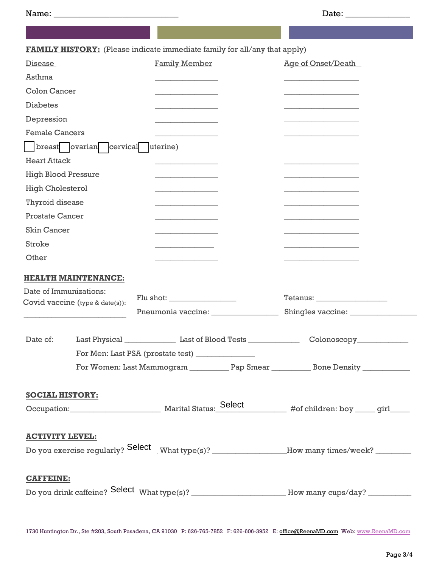|                            |                                   | <b>FAMILY HISTORY:</b> (Please indicate immediate family for all/any that apply) |  |                                                                                                    |  |  |  |
|----------------------------|-----------------------------------|----------------------------------------------------------------------------------|--|----------------------------------------------------------------------------------------------------|--|--|--|
| Disease                    |                                   | Family Member                                                                    |  | <b>Age of Onset/Death</b>                                                                          |  |  |  |
|                            |                                   |                                                                                  |  |                                                                                                    |  |  |  |
| Asthma                     |                                   |                                                                                  |  |                                                                                                    |  |  |  |
| <b>Colon Cancer</b>        |                                   |                                                                                  |  |                                                                                                    |  |  |  |
| <b>Diabetes</b>            |                                   |                                                                                  |  |                                                                                                    |  |  |  |
| Depression                 |                                   |                                                                                  |  |                                                                                                    |  |  |  |
| <b>Female Cancers</b>      |                                   |                                                                                  |  |                                                                                                    |  |  |  |
|                            | breast ovarian cervical           | uterine)                                                                         |  |                                                                                                    |  |  |  |
| <b>Heart Attack</b>        |                                   |                                                                                  |  |                                                                                                    |  |  |  |
| <b>High Blood Pressure</b> |                                   |                                                                                  |  |                                                                                                    |  |  |  |
| <b>High Cholesterol</b>    |                                   |                                                                                  |  |                                                                                                    |  |  |  |
| Thyroid disease            |                                   | the control of the control of the control of                                     |  |                                                                                                    |  |  |  |
| <b>Prostate Cancer</b>     |                                   |                                                                                  |  |                                                                                                    |  |  |  |
| <b>Skin Cancer</b>         |                                   |                                                                                  |  |                                                                                                    |  |  |  |
| Stroke                     |                                   | <u> 1989 - Johann Barnett, fransk konge</u>                                      |  |                                                                                                    |  |  |  |
| Other                      |                                   |                                                                                  |  |                                                                                                    |  |  |  |
|                            | <b>HEALTH MAINTENANCE:</b>        |                                                                                  |  |                                                                                                    |  |  |  |
| Date of Immunizations:     |                                   |                                                                                  |  |                                                                                                    |  |  |  |
|                            | Covid vaccine (type $&$ date(s)): |                                                                                  |  |                                                                                                    |  |  |  |
|                            |                                   | Pneumonia vaccine:                                                               |  |                                                                                                    |  |  |  |
| Date of:                   |                                   |                                                                                  |  |                                                                                                    |  |  |  |
|                            |                                   | For Men: Last PSA (prostate test) _                                              |  |                                                                                                    |  |  |  |
|                            |                                   |                                                                                  |  |                                                                                                    |  |  |  |
|                            |                                   |                                                                                  |  |                                                                                                    |  |  |  |
| <b>SOCIAL HISTORY:</b>     |                                   |                                                                                  |  |                                                                                                    |  |  |  |
|                            |                                   |                                                                                  |  |                                                                                                    |  |  |  |
| <b>ACTIVITY LEVEL:</b>     |                                   |                                                                                  |  |                                                                                                    |  |  |  |
|                            |                                   |                                                                                  |  | Do you exercise regularly? Select What type(s)? ___________________How many times/week? __________ |  |  |  |
| <b>CAFFEINE:</b>           |                                   |                                                                                  |  |                                                                                                    |  |  |  |
|                            |                                   |                                                                                  |  |                                                                                                    |  |  |  |

1730 Huntington Dr., Ste #203, South Pasadena, CA 91030 P: 626-765-7852 F: 626-606-3952 E: [office@ReenaMD.com](mailto:office@ReenaMD.com) Web: www.ReenaMD.com